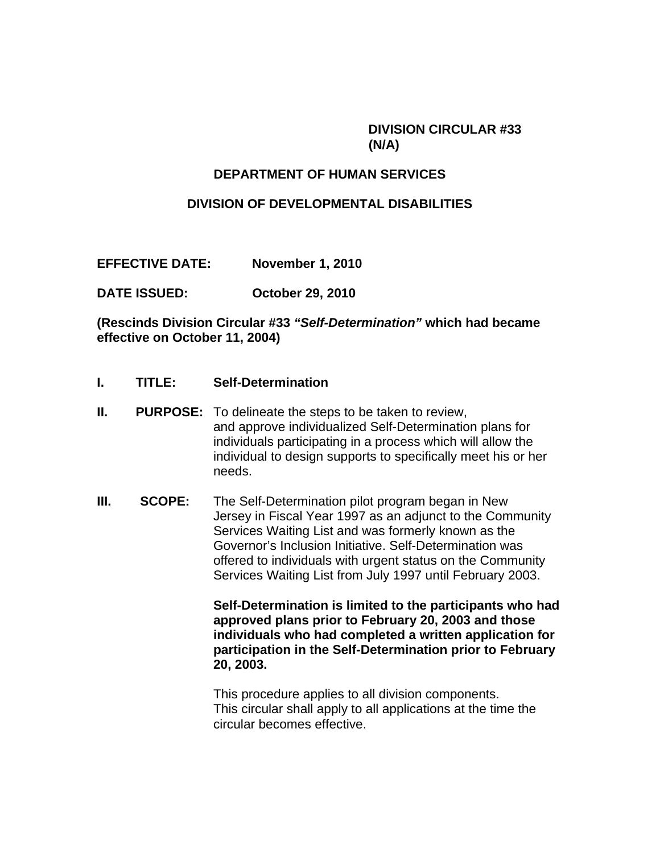#### **DIVISION CIRCULAR #33 (N/A)**

#### **DEPARTMENT OF HUMAN SERVICES**

#### **DIVISION OF DEVELOPMENTAL DISABILITIES**

**EFFECTIVE DATE: November 1, 2010** 

**DATE ISSUED: October 29, 2010** 

**(Rescinds Division Circular #33** *"Self-Determination"* **which had became effective on October 11, 2004)** 

- **I. TITLE: Self-Determination**
- **II. PURPOSE:** To delineate the steps to be taken to review, and approve individualized Self-Determination plans for individuals participating in a process which will allow the individual to design supports to specifically meet his or her needs.
- **III. SCOPE:** The Self-Determination pilot program began in New Jersey in Fiscal Year 1997 as an adjunct to the Community Services Waiting List and was formerly known as the Governor's Inclusion Initiative. Self-Determination was offered to individuals with urgent status on the Community Services Waiting List from July 1997 until February 2003.

**Self-Determination is limited to the participants who had approved plans prior to February 20, 2003 and those individuals who had completed a written application for participation in the Self-Determination prior to February 20, 2003.** 

This procedure applies to all division components. This circular shall apply to all applications at the time the circular becomes effective.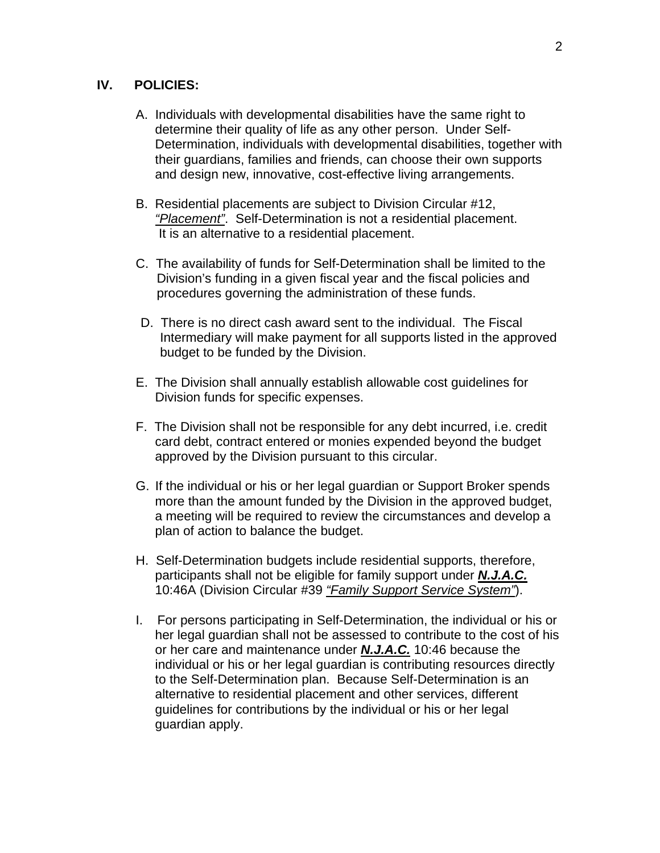#### **IV. POLICIES:**

- A. Individuals with developmental disabilities have the same right to determine their quality of life as any other person. Under Self-Determination, individuals with developmental disabilities, together with their guardians, families and friends, can choose their own supports and design new, innovative, cost-effective living arrangements.
- B. Residential placements are subject to Division Circular #12, *"Placement"*. Self-Determination is not a residential placement. It is an alternative to a residential placement.
- C. The availability of funds for Self-Determination shall be limited to the Division's funding in a given fiscal year and the fiscal policies and procedures governing the administration of these funds.
- D. There is no direct cash award sent to the individual. The Fiscal Intermediary will make payment for all supports listed in the approved budget to be funded by the Division.
- E. The Division shall annually establish allowable cost guidelines for Division funds for specific expenses.
- F. The Division shall not be responsible for any debt incurred, i.e. credit card debt, contract entered or monies expended beyond the budget approved by the Division pursuant to this circular.
- G. If the individual or his or her legal guardian or Support Broker spends more than the amount funded by the Division in the approved budget, a meeting will be required to review the circumstances and develop a plan of action to balance the budget.
- H. Self-Determination budgets include residential supports, therefore, participants shall not be eligible for family support under *N.J.A.C.* 10:46A (Division Circular #39 *"Family Support Service System"*).
- I. For persons participating in Self-Determination, the individual or his or her legal guardian shall not be assessed to contribute to the cost of his or her care and maintenance under *N.J.A.C.* 10:46 because the individual or his or her legal guardian is contributing resources directly to the Self-Determination plan. Because Self-Determination is an alternative to residential placement and other services, different guidelines for contributions by the individual or his or her legal guardian apply.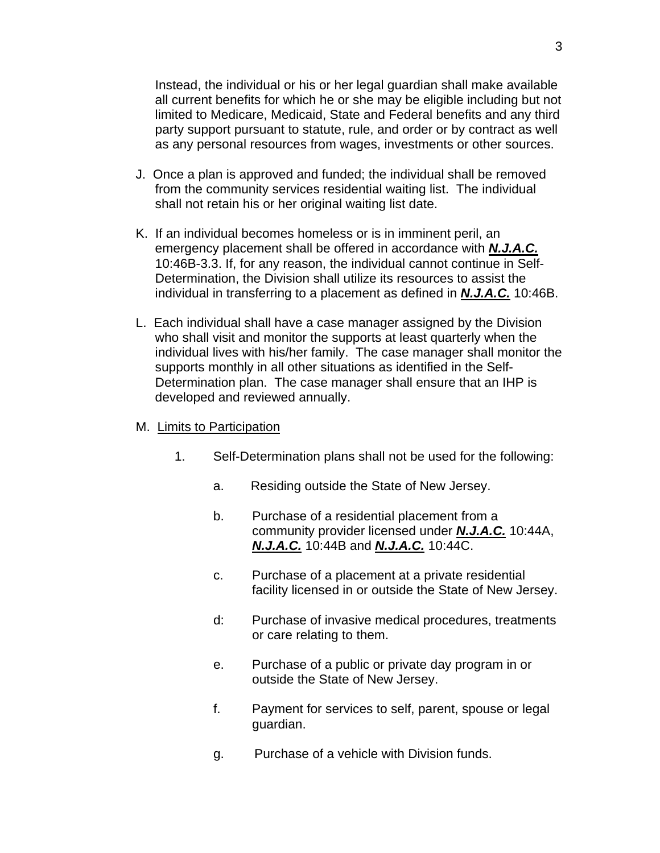Instead, the individual or his or her legal guardian shall make available all current benefits for which he or she may be eligible including but not limited to Medicare, Medicaid, State and Federal benefits and any third party support pursuant to statute, rule, and order or by contract as well as any personal resources from wages, investments or other sources.

- J. Once a plan is approved and funded; the individual shall be removed from the community services residential waiting list. The individual shall not retain his or her original waiting list date.
- K. If an individual becomes homeless or is in imminent peril, an emergency placement shall be offered in accordance with *N.J.A.C.* 10:46B-3.3. If, for any reason, the individual cannot continue in Self-Determination, the Division shall utilize its resources to assist the individual in transferring to a placement as defined in *N.J.A.C.* 10:46B.
- L. Each individual shall have a case manager assigned by the Division who shall visit and monitor the supports at least quarterly when the individual lives with his/her family. The case manager shall monitor the supports monthly in all other situations as identified in the Self-Determination plan. The case manager shall ensure that an IHP is developed and reviewed annually.
- M. Limits to Participation
	- 1. Self-Determination plans shall not be used for the following:
		- a. Residing outside the State of New Jersey.
		- b. Purchase of a residential placement from a community provider licensed under *N.J.A.C.* 10:44A, *N.J.A.C.* 10:44B and *N.J.A.C.* 10:44C.
		- c. Purchase of a placement at a private residential facility licensed in or outside the State of New Jersey.
		- d: Purchase of invasive medical procedures, treatments or care relating to them.
		- e. Purchase of a public or private day program in or outside the State of New Jersey.
		- f. Payment for services to self, parent, spouse or legal guardian.
		- g. Purchase of a vehicle with Division funds.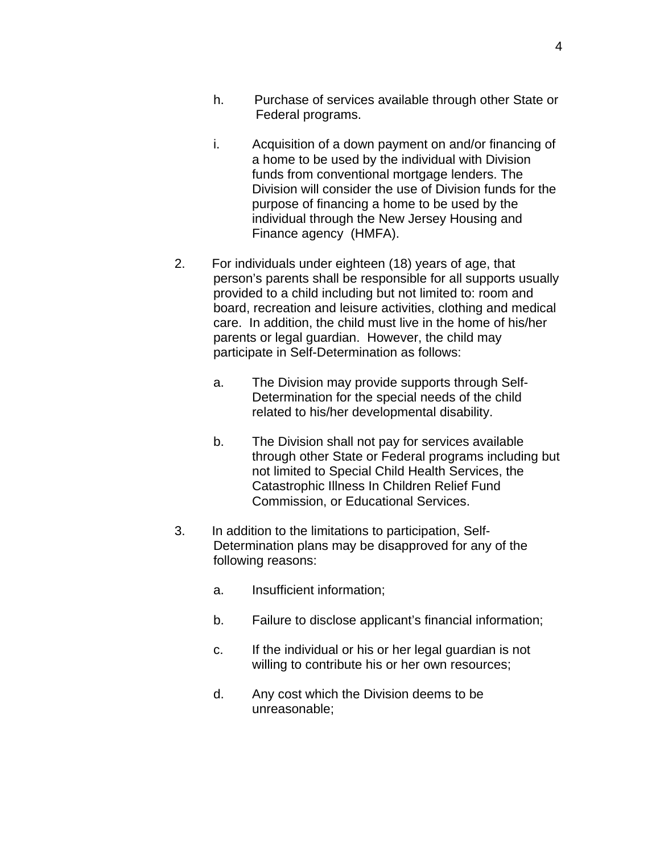- h. Purchase of services available through other State or Federal programs.
- i. Acquisition of a down payment on and/or financing of a home to be used by the individual with Division funds from conventional mortgage lenders. The Division will consider the use of Division funds for the purpose of financing a home to be used by the individual through the New Jersey Housing and Finance agency (HMFA).
- 2. For individuals under eighteen (18) years of age, that person's parents shall be responsible for all supports usually provided to a child including but not limited to: room and board, recreation and leisure activities, clothing and medical care. In addition, the child must live in the home of his/her parents or legal guardian. However, the child may participate in Self-Determination as follows:
	- a. The Division may provide supports through Self-Determination for the special needs of the child related to his/her developmental disability.
	- b. The Division shall not pay for services available through other State or Federal programs including but not limited to Special Child Health Services, the Catastrophic Illness In Children Relief Fund Commission, or Educational Services.
- 3. In addition to the limitations to participation, Self-Determination plans may be disapproved for any of the following reasons:
	- a. Insufficient information;
	- b. Failure to disclose applicant's financial information;
	- c. If the individual or his or her legal guardian is not willing to contribute his or her own resources;
	- d. Any cost which the Division deems to be unreasonable;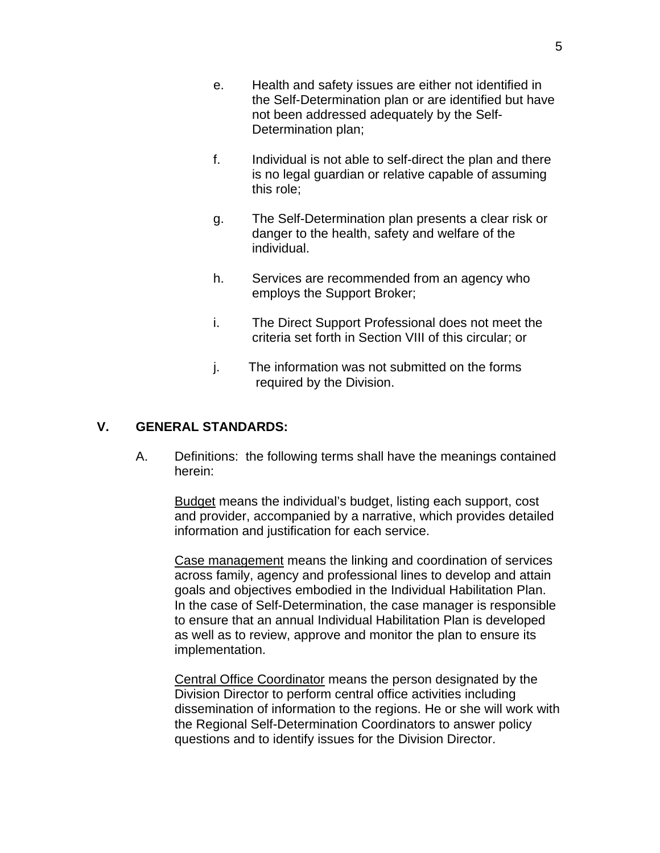- e. Health and safety issues are either not identified in the Self-Determination plan or are identified but have not been addressed adequately by the Self-Determination plan;
- f. Individual is not able to self-direct the plan and there is no legal guardian or relative capable of assuming this role;
- g. The Self-Determination plan presents a clear risk or danger to the health, safety and welfare of the individual.
- h. Services are recommended from an agency who employs the Support Broker;
- i. The Direct Support Professional does not meet the criteria set forth in Section VIII of this circular; or
- j. The information was not submitted on the forms required by the Division.

#### **V. GENERAL STANDARDS:**

A. Definitions: the following terms shall have the meanings contained herein:

Budget means the individual's budget, listing each support, cost and provider, accompanied by a narrative, which provides detailed information and justification for each service.

Case management means the linking and coordination of services across family, agency and professional lines to develop and attain goals and objectives embodied in the Individual Habilitation Plan. In the case of Self-Determination, the case manager is responsible to ensure that an annual Individual Habilitation Plan is developed as well as to review, approve and monitor the plan to ensure its implementation.

Central Office Coordinator means the person designated by the Division Director to perform central office activities including dissemination of information to the regions. He or she will work with the Regional Self-Determination Coordinators to answer policy questions and to identify issues for the Division Director.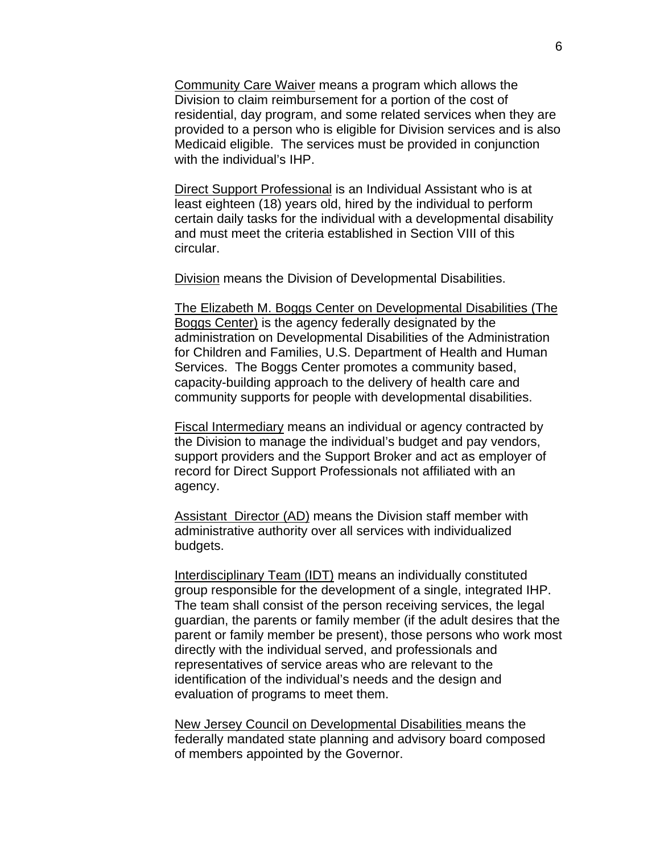Community Care Waiver means a program which allows the Division to claim reimbursement for a portion of the cost of residential, day program, and some related services when they are provided to a person who is eligible for Division services and is also Medicaid eligible. The services must be provided in conjunction with the individual's IHP.

Direct Support Professional is an Individual Assistant who is at least eighteen (18) years old, hired by the individual to perform certain daily tasks for the individual with a developmental disability and must meet the criteria established in Section VIII of this circular.

Division means the Division of Developmental Disabilities.

The Elizabeth M. Boggs Center on Developmental Disabilities (The Boggs Center) is the agency federally designated by the administration on Developmental Disabilities of the Administration for Children and Families, U.S. Department of Health and Human Services. The Boggs Center promotes a community based, capacity-building approach to the delivery of health care and community supports for people with developmental disabilities.

Fiscal Intermediary means an individual or agency contracted by the Division to manage the individual's budget and pay vendors, support providers and the Support Broker and act as employer of record for Direct Support Professionals not affiliated with an agency.

Assistant Director (AD) means the Division staff member with administrative authority over all services with individualized budgets.

Interdisciplinary Team (IDT) means an individually constituted group responsible for the development of a single, integrated IHP. The team shall consist of the person receiving services, the legal guardian, the parents or family member (if the adult desires that the parent or family member be present), those persons who work most directly with the individual served, and professionals and representatives of service areas who are relevant to the identification of the individual's needs and the design and evaluation of programs to meet them.

New Jersey Council on Developmental Disabilities means the federally mandated state planning and advisory board composed of members appointed by the Governor.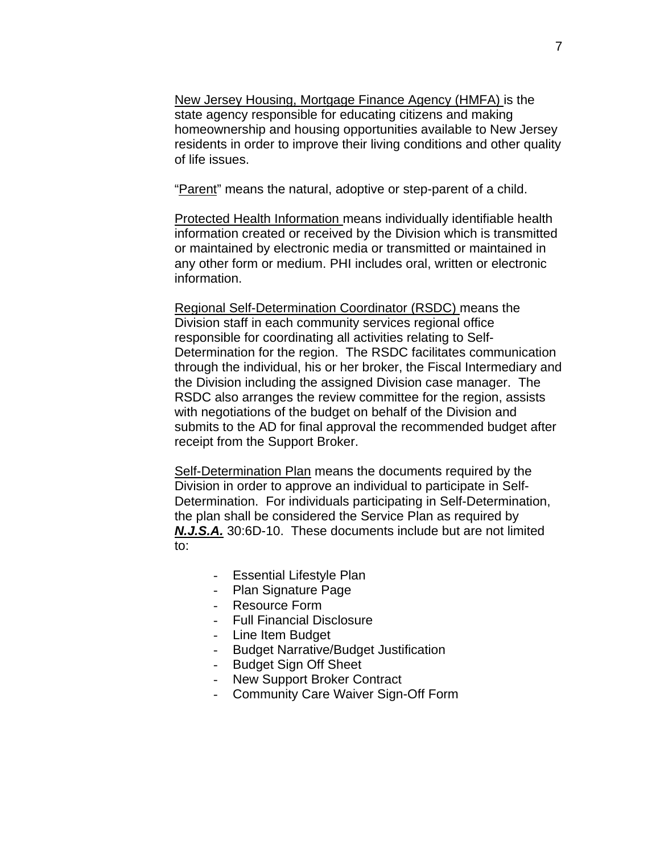New Jersey Housing, Mortgage Finance Agency (HMFA) is the state agency responsible for educating citizens and making homeownership and housing opportunities available to New Jersey residents in order to improve their living conditions and other quality of life issues.

"Parent" means the natural, adoptive or step-parent of a child.

Protected Health Information means individually identifiable health information created or received by the Division which is transmitted or maintained by electronic media or transmitted or maintained in any other form or medium. PHI includes oral, written or electronic information.

Regional Self-Determination Coordinator (RSDC) means the Division staff in each community services regional office responsible for coordinating all activities relating to Self-Determination for the region. The RSDC facilitates communication through the individual, his or her broker, the Fiscal Intermediary and the Division including the assigned Division case manager. The RSDC also arranges the review committee for the region, assists with negotiations of the budget on behalf of the Division and submits to the AD for final approval the recommended budget after receipt from the Support Broker.

Self-Determination Plan means the documents required by the Division in order to approve an individual to participate in Self-Determination. For individuals participating in Self-Determination, the plan shall be considered the Service Plan as required by *N.J.S.A.* 30:6D-10. These documents include but are not limited to:

- Essential Lifestyle Plan
- Plan Signature Page
- Resource Form
- Full Financial Disclosure
- Line Item Budget
- Budget Narrative/Budget Justification
- Budget Sign Off Sheet
- New Support Broker Contract
- Community Care Waiver Sign-Off Form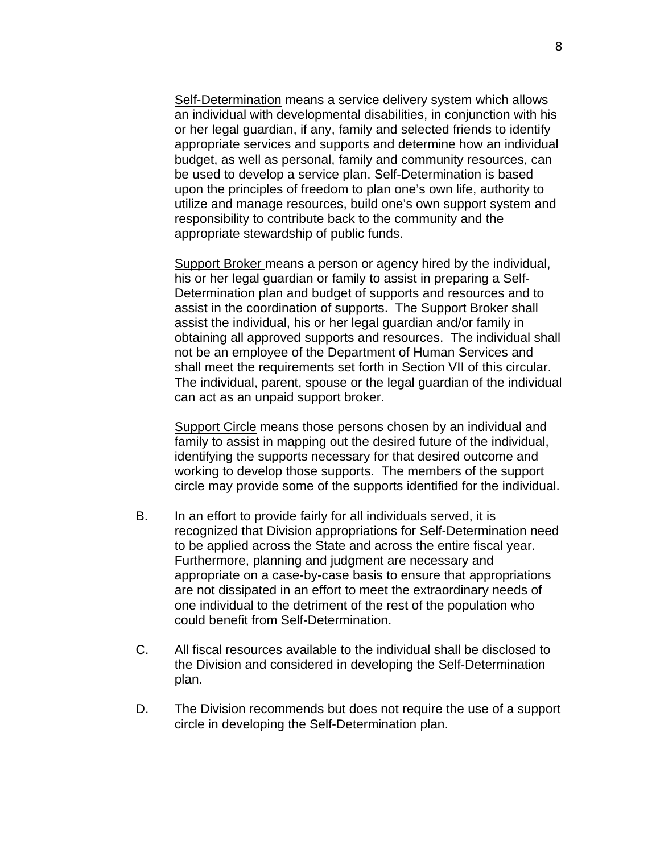Self-Determination means a service delivery system which allows an individual with developmental disabilities, in conjunction with his or her legal guardian, if any, family and selected friends to identify appropriate services and supports and determine how an individual budget, as well as personal, family and community resources, can be used to develop a service plan. Self-Determination is based upon the principles of freedom to plan one's own life, authority to utilize and manage resources, build one's own support system and responsibility to contribute back to the community and the appropriate stewardship of public funds.

Support Broker means a person or agency hired by the individual, his or her legal guardian or family to assist in preparing a Self-Determination plan and budget of supports and resources and to assist in the coordination of supports. The Support Broker shall assist the individual, his or her legal guardian and/or family in obtaining all approved supports and resources. The individual shall not be an employee of the Department of Human Services and shall meet the requirements set forth in Section VII of this circular. The individual, parent, spouse or the legal guardian of the individual can act as an unpaid support broker.

Support Circle means those persons chosen by an individual and family to assist in mapping out the desired future of the individual, identifying the supports necessary for that desired outcome and working to develop those supports. The members of the support circle may provide some of the supports identified for the individual.

- B. In an effort to provide fairly for all individuals served, it is recognized that Division appropriations for Self-Determination need to be applied across the State and across the entire fiscal year. Furthermore, planning and judgment are necessary and appropriate on a case-by-case basis to ensure that appropriations are not dissipated in an effort to meet the extraordinary needs of one individual to the detriment of the rest of the population who could benefit from Self-Determination.
- C. All fiscal resources available to the individual shall be disclosed to the Division and considered in developing the Self-Determination plan.
- D. The Division recommends but does not require the use of a support circle in developing the Self-Determination plan.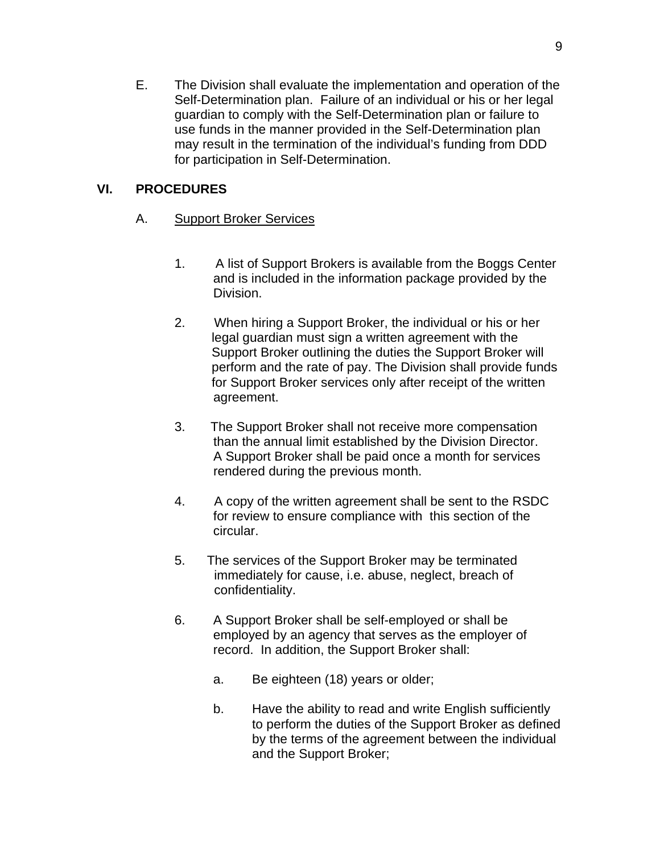E. The Division shall evaluate the implementation and operation of the Self-Determination plan. Failure of an individual or his or her legal guardian to comply with the Self-Determination plan or failure to use funds in the manner provided in the Self-Determination plan may result in the termination of the individual's funding from DDD for participation in Self-Determination.

## **VI. PROCEDURES**

- A. Support Broker Services
	- 1. A list of Support Brokers is available from the Boggs Center and is included in the information package provided by the Division.
	- 2. When hiring a Support Broker, the individual or his or her legal guardian must sign a written agreement with the Support Broker outlining the duties the Support Broker will perform and the rate of pay. The Division shall provide funds for Support Broker services only after receipt of the written agreement.
	- 3. The Support Broker shall not receive more compensation than the annual limit established by the Division Director. A Support Broker shall be paid once a month for services rendered during the previous month.
	- 4. A copy of the written agreement shall be sent to the RSDC for review to ensure compliance with this section of the circular.
	- 5. The services of the Support Broker may be terminated immediately for cause, i.e. abuse, neglect, breach of confidentiality.
	- 6. A Support Broker shall be self-employed or shall be employed by an agency that serves as the employer of record. In addition, the Support Broker shall:
		- a. Be eighteen (18) years or older;
		- b. Have the ability to read and write English sufficiently to perform the duties of the Support Broker as defined by the terms of the agreement between the individual and the Support Broker;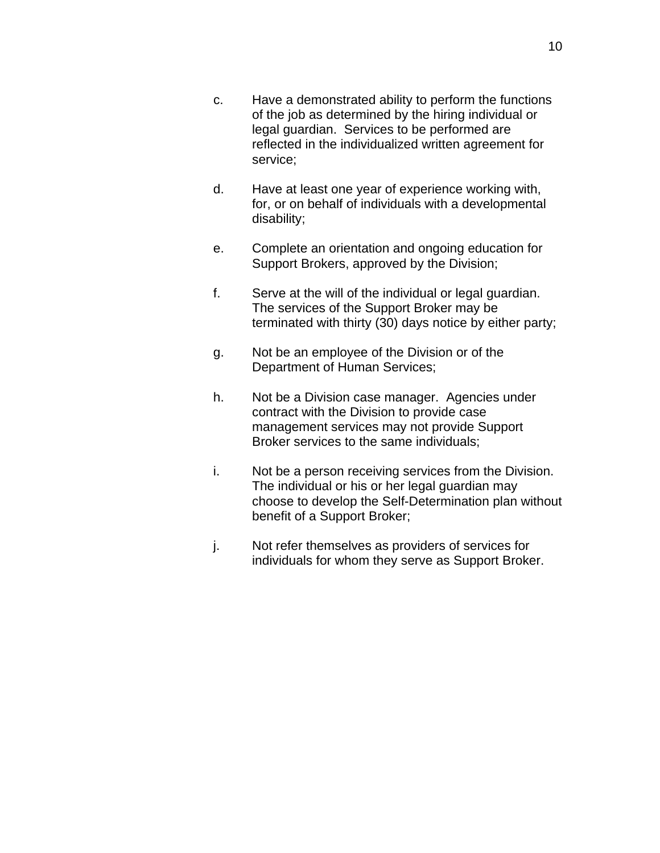- c. Have a demonstrated ability to perform the functions of the job as determined by the hiring individual or legal guardian. Services to be performed are reflected in the individualized written agreement for service;
- d. Have at least one year of experience working with, for, or on behalf of individuals with a developmental disability;
- e. Complete an orientation and ongoing education for Support Brokers, approved by the Division;
- f. Serve at the will of the individual or legal guardian. The services of the Support Broker may be terminated with thirty (30) days notice by either party;
- g. Not be an employee of the Division or of the Department of Human Services;
- h. Not be a Division case manager. Agencies under contract with the Division to provide case management services may not provide Support Broker services to the same individuals;
- i. Not be a person receiving services from the Division. The individual or his or her legal guardian may choose to develop the Self-Determination plan without benefit of a Support Broker;
- j. Not refer themselves as providers of services for individuals for whom they serve as Support Broker.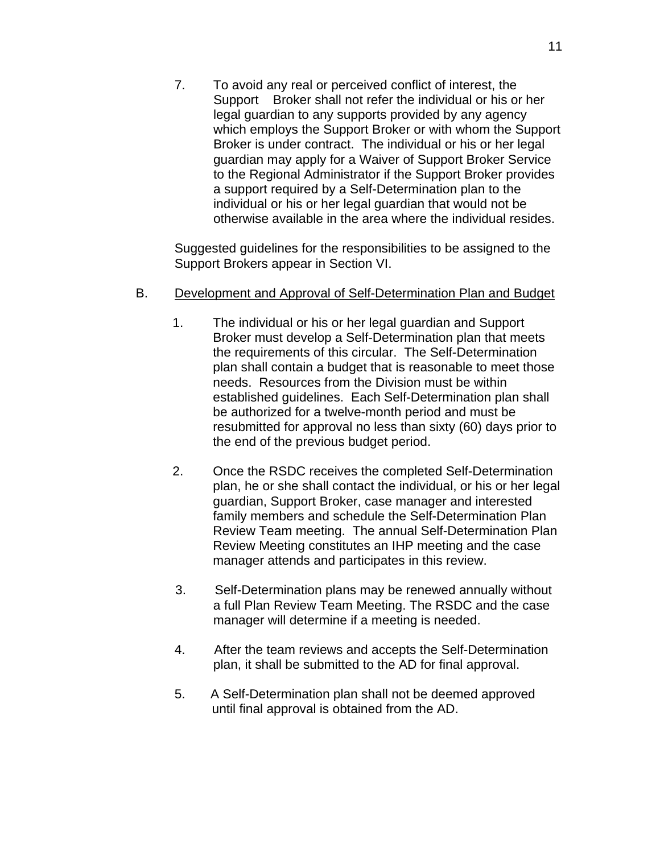7. To avoid any real or perceived conflict of interest, the Support Broker shall not refer the individual or his or her legal guardian to any supports provided by any agency which employs the Support Broker or with whom the Support Broker is under contract. The individual or his or her legal guardian may apply for a Waiver of Support Broker Service to the Regional Administrator if the Support Broker provides a support required by a Self-Determination plan to the individual or his or her legal guardian that would not be otherwise available in the area where the individual resides.

Suggested guidelines for the responsibilities to be assigned to the Support Brokers appear in Section VI.

#### B. Development and Approval of Self-Determination Plan and Budget

- 1. The individual or his or her legal guardian and Support Broker must develop a Self-Determination plan that meets the requirements of this circular. The Self-Determination plan shall contain a budget that is reasonable to meet those needs. Resources from the Division must be within established guidelines. Each Self-Determination plan shall be authorized for a twelve-month period and must be resubmitted for approval no less than sixty (60) days prior to the end of the previous budget period.
- 2. Once the RSDC receives the completed Self-Determination plan, he or she shall contact the individual, or his or her legal guardian, Support Broker, case manager and interested family members and schedule the Self-Determination Plan Review Team meeting. The annual Self-Determination Plan Review Meeting constitutes an IHP meeting and the case manager attends and participates in this review.
- 3. Self-Determination plans may be renewed annually without a full Plan Review Team Meeting. The RSDC and the case manager will determine if a meeting is needed.
- 4. After the team reviews and accepts the Self-Determination plan, it shall be submitted to the AD for final approval.
- 5. A Self-Determination plan shall not be deemed approved until final approval is obtained from the AD.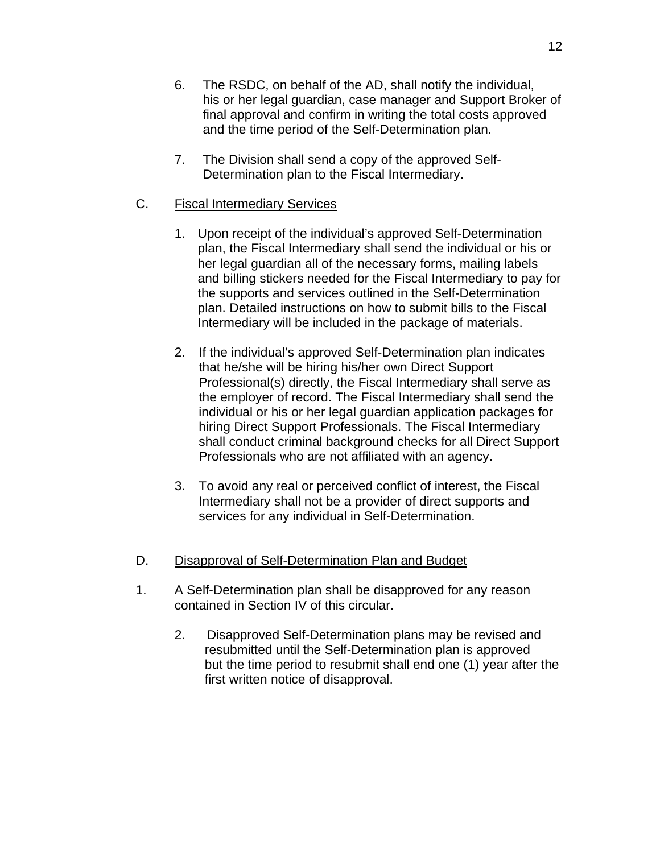- 6. The RSDC, on behalf of the AD, shall notify the individual, his or her legal guardian, case manager and Support Broker of final approval and confirm in writing the total costs approved and the time period of the Self-Determination plan.
- 7. The Division shall send a copy of the approved Self-Determination plan to the Fiscal Intermediary.

### C. Fiscal Intermediary Services

- 1. Upon receipt of the individual's approved Self-Determination plan, the Fiscal Intermediary shall send the individual or his or her legal guardian all of the necessary forms, mailing labels and billing stickers needed for the Fiscal Intermediary to pay for the supports and services outlined in the Self-Determination plan. Detailed instructions on how to submit bills to the Fiscal Intermediary will be included in the package of materials.
- 2. If the individual's approved Self-Determination plan indicates that he/she will be hiring his/her own Direct Support Professional(s) directly, the Fiscal Intermediary shall serve as the employer of record. The Fiscal Intermediary shall send the individual or his or her legal guardian application packages for hiring Direct Support Professionals. The Fiscal Intermediary shall conduct criminal background checks for all Direct Support Professionals who are not affiliated with an agency.
- 3. To avoid any real or perceived conflict of interest, the Fiscal Intermediary shall not be a provider of direct supports and services for any individual in Self-Determination.

#### D. Disapproval of Self-Determination Plan and Budget

- 1. A Self-Determination plan shall be disapproved for any reason contained in Section IV of this circular.
	- 2. Disapproved Self-Determination plans may be revised and resubmitted until the Self-Determination plan is approved but the time period to resubmit shall end one (1) year after the first written notice of disapproval.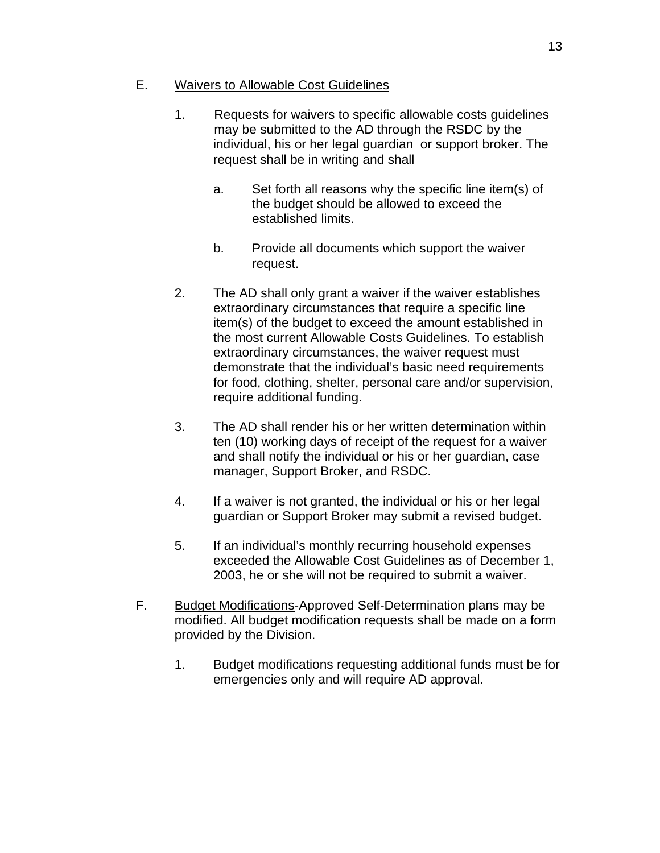## E. Waivers to Allowable Cost Guidelines

- 1. Requests for waivers to specific allowable costs guidelines may be submitted to the AD through the RSDC by the individual, his or her legal guardian or support broker. The request shall be in writing and shall
	- a. Set forth all reasons why the specific line item(s) of the budget should be allowed to exceed the established limits.
	- b. Provide all documents which support the waiver request.
- 2. The AD shall only grant a waiver if the waiver establishes extraordinary circumstances that require a specific line item(s) of the budget to exceed the amount established in the most current Allowable Costs Guidelines. To establish extraordinary circumstances, the waiver request must demonstrate that the individual's basic need requirements for food, clothing, shelter, personal care and/or supervision, require additional funding.
- 3. The AD shall render his or her written determination within ten (10) working days of receipt of the request for a waiver and shall notify the individual or his or her guardian, case manager, Support Broker, and RSDC.
- 4. If a waiver is not granted, the individual or his or her legal guardian or Support Broker may submit a revised budget.
- 5. If an individual's monthly recurring household expenses exceeded the Allowable Cost Guidelines as of December 1, 2003, he or she will not be required to submit a waiver.
- F. Budget Modifications-Approved Self-Determination plans may be modified. All budget modification requests shall be made on a form provided by the Division.
	- 1. Budget modifications requesting additional funds must be for emergencies only and will require AD approval.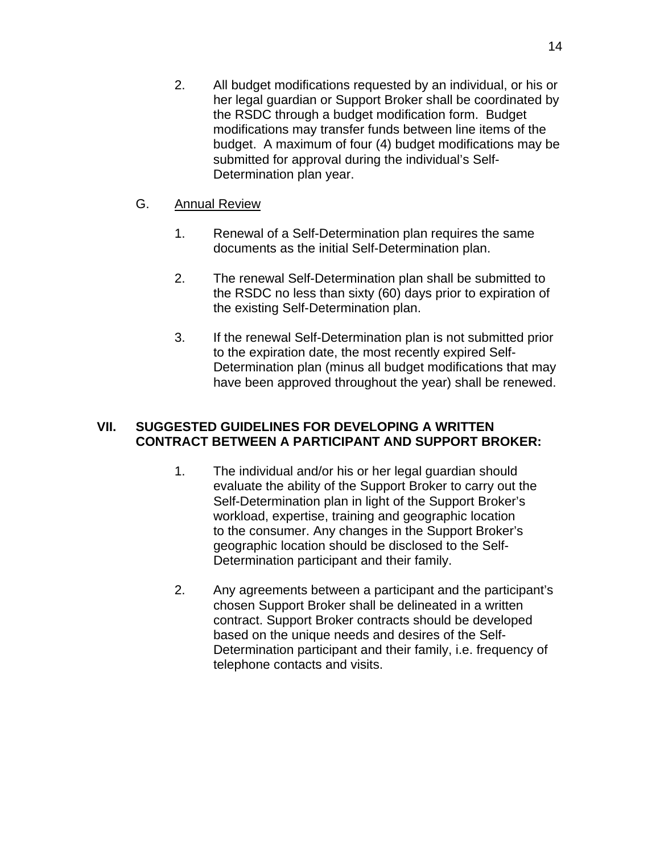2. All budget modifications requested by an individual, or his or her legal guardian or Support Broker shall be coordinated by the RSDC through a budget modification form. Budget modifications may transfer funds between line items of the budget. A maximum of four (4) budget modifications may be submitted for approval during the individual's Self-Determination plan year.

#### G. Annual Review

- 1. Renewal of a Self-Determination plan requires the same documents as the initial Self-Determination plan.
- 2. The renewal Self-Determination plan shall be submitted to the RSDC no less than sixty (60) days prior to expiration of the existing Self-Determination plan.
- 3. If the renewal Self-Determination plan is not submitted prior to the expiration date, the most recently expired Self-Determination plan (minus all budget modifications that may have been approved throughout the year) shall be renewed.

#### **VII. SUGGESTED GUIDELINES FOR DEVELOPING A WRITTEN CONTRACT BETWEEN A PARTICIPANT AND SUPPORT BROKER:**

- 1. The individual and/or his or her legal guardian should evaluate the ability of the Support Broker to carry out the Self-Determination plan in light of the Support Broker's workload, expertise, training and geographic location to the consumer. Any changes in the Support Broker's geographic location should be disclosed to the Self-Determination participant and their family.
- 2. Any agreements between a participant and the participant's chosen Support Broker shall be delineated in a written contract. Support Broker contracts should be developed based on the unique needs and desires of the Self-Determination participant and their family, i.e. frequency of telephone contacts and visits.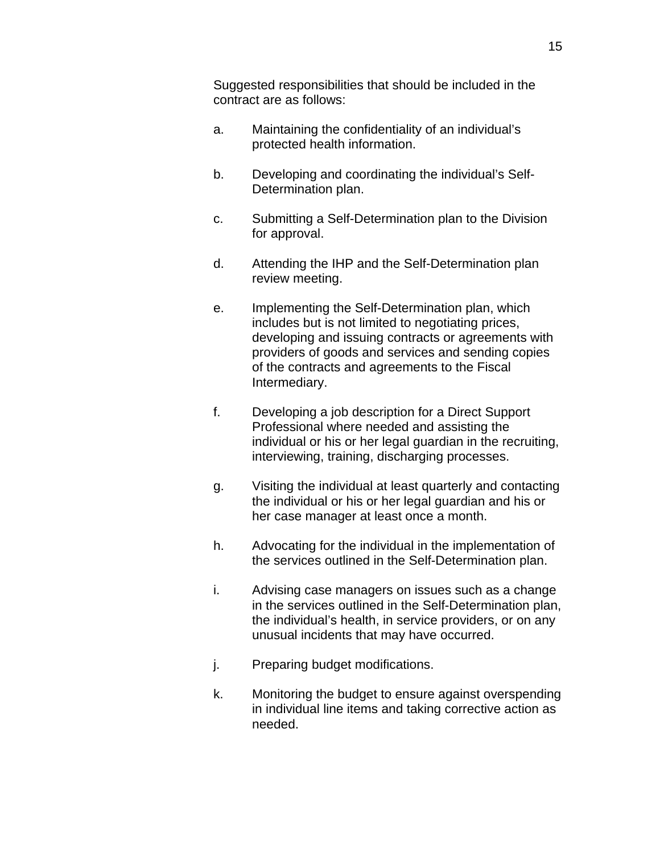Suggested responsibilities that should be included in the contract are as follows:

- a. Maintaining the confidentiality of an individual's protected health information.
- b. Developing and coordinating the individual's Self-Determination plan.
- c. Submitting a Self-Determination plan to the Division for approval.
- d. Attending the IHP and the Self-Determination plan review meeting.
- e. Implementing the Self-Determination plan, which includes but is not limited to negotiating prices, developing and issuing contracts or agreements with providers of goods and services and sending copies of the contracts and agreements to the Fiscal Intermediary.
- f. Developing a job description for a Direct Support Professional where needed and assisting the individual or his or her legal guardian in the recruiting, interviewing, training, discharging processes.
- g. Visiting the individual at least quarterly and contacting the individual or his or her legal guardian and his or her case manager at least once a month.
- h. Advocating for the individual in the implementation of the services outlined in the Self-Determination plan.
- i. Advising case managers on issues such as a change in the services outlined in the Self-Determination plan, the individual's health, in service providers, or on any unusual incidents that may have occurred.
- j. Preparing budget modifications.
- k. Monitoring the budget to ensure against overspending in individual line items and taking corrective action as needed.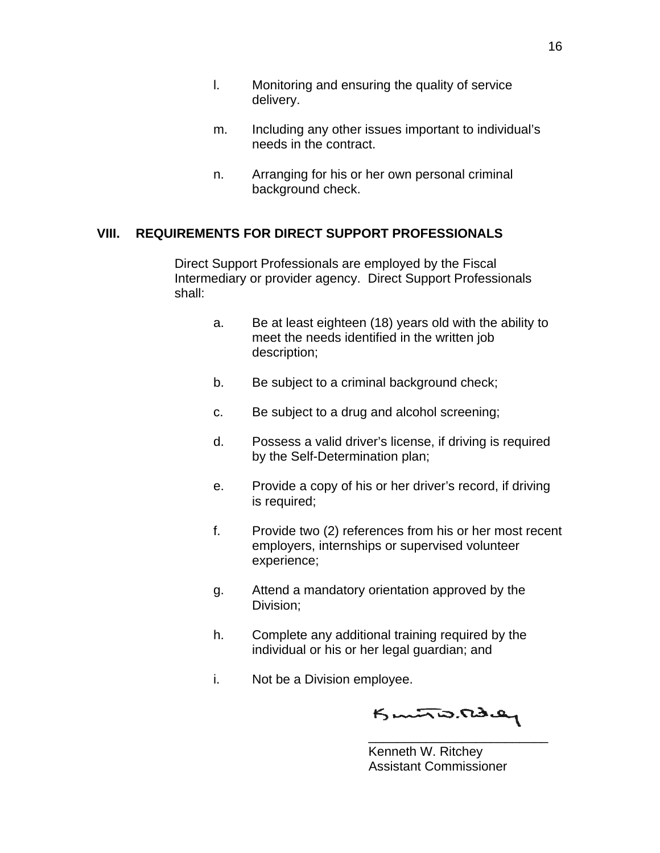- m. Including any other issues important to individual's needs in the contract.
- n. Arranging for his or her own personal criminal background check.

#### **VIII. REQUIREMENTS FOR DIRECT SUPPORT PROFESSIONALS**

Direct Support Professionals are employed by the Fiscal Intermediary or provider agency. Direct Support Professionals shall:

- a. Be at least eighteen (18) years old with the ability to meet the needs identified in the written job description;
- b. Be subject to a criminal background check;
- c. Be subject to a drug and alcohol screening;
- d. Possess a valid driver's license, if driving is required by the Self-Determination plan;
- e. Provide a copy of his or her driver's record, if driving is required;
- f. Provide two (2) references from his or her most recent employers, internships or supervised volunteer experience;
- g. Attend a mandatory orientation approved by the Division;
- h. Complete any additional training required by the individual or his or her legal guardian; and
- i. Not be a Division employee.

Kunto. Rday

\_\_\_\_\_\_\_\_\_\_\_\_\_\_\_\_\_\_\_\_\_\_\_\_\_

 Kenneth W. Ritchey Assistant Commissioner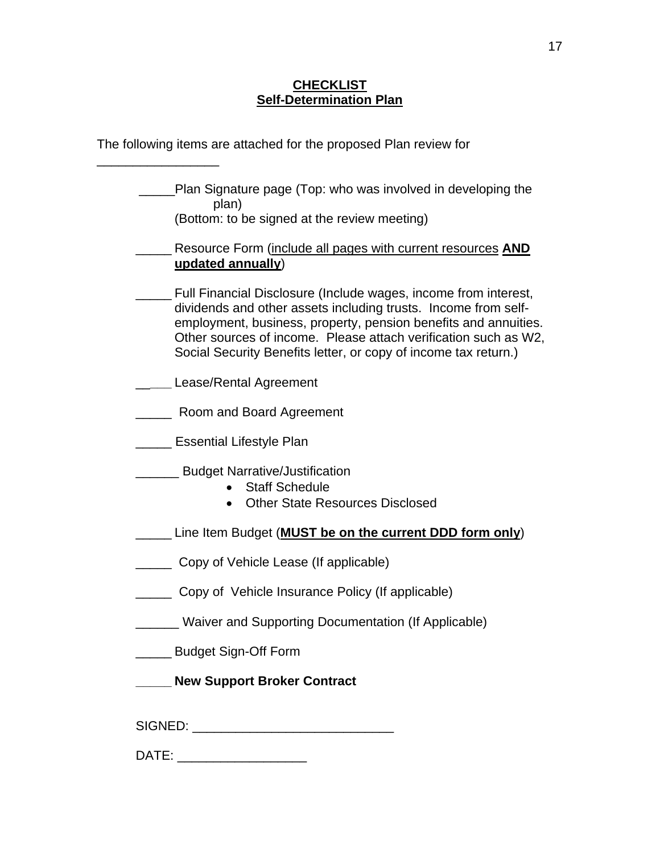#### **CHECKLIST Self-Determination Plan**

|                            | The following items are attached for the proposed Plan review for                                                                                                                                                                                                                                                                          |
|----------------------------|--------------------------------------------------------------------------------------------------------------------------------------------------------------------------------------------------------------------------------------------------------------------------------------------------------------------------------------------|
|                            | Plan Signature page (Top: who was involved in developing the<br>plan)<br>(Bottom: to be signed at the review meeting)                                                                                                                                                                                                                      |
|                            | Resource Form (include all pages with current resources AND<br>updated annually)                                                                                                                                                                                                                                                           |
|                            | Full Financial Disclosure (Include wages, income from interest,<br>dividends and other assets including trusts. Income from self-<br>employment, business, property, pension benefits and annuities.<br>Other sources of income. Please attach verification such as W2,<br>Social Security Benefits letter, or copy of income tax return.) |
|                            | Lease/Rental Agreement                                                                                                                                                                                                                                                                                                                     |
|                            | Room and Board Agreement                                                                                                                                                                                                                                                                                                                   |
|                            | <b>Essential Lifestyle Plan</b>                                                                                                                                                                                                                                                                                                            |
|                            | <b>Budget Narrative/Justification</b><br><b>Staff Schedule</b><br><b>Other State Resources Disclosed</b>                                                                                                                                                                                                                                   |
|                            | Line Item Budget ( <b>MUST be on the current DDD form only</b> )                                                                                                                                                                                                                                                                           |
|                            | Copy of Vehicle Lease (If applicable)                                                                                                                                                                                                                                                                                                      |
|                            | Copy of Vehicle Insurance Policy (If applicable)                                                                                                                                                                                                                                                                                           |
|                            | <b>Waiver and Supporting Documentation (If Applicable)</b>                                                                                                                                                                                                                                                                                 |
| $\mathcal{L}^{\text{max}}$ | <b>Budget Sign-Off Form</b>                                                                                                                                                                                                                                                                                                                |
|                            | <b>New Support Broker Contract</b>                                                                                                                                                                                                                                                                                                         |
|                            | DATE: _____________________                                                                                                                                                                                                                                                                                                                |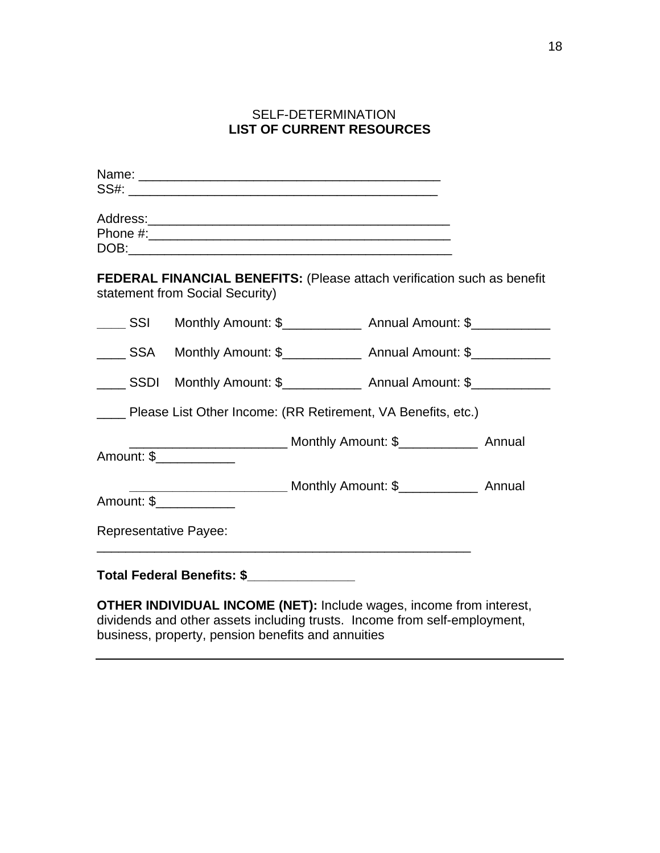## SELF-DETERMINATION **LIST OF CURRENT RESOURCES**

|                              | FEDERAL FINANCIAL BENEFITS: (Please attach verification such as benefit<br>statement from Social Security) |                                                             |  |
|------------------------------|------------------------------------------------------------------------------------------------------------|-------------------------------------------------------------|--|
|                              | _____ SSI Monthly Amount: \$_______________ Annual Amount: \$____________                                  |                                                             |  |
|                              | _____ SSA Monthly Amount: \$_______________ Annual Amount: \$____________                                  |                                                             |  |
|                              | _____ SSDI Monthly Amount: \$_______________ Annual Amount: \$____________                                 |                                                             |  |
|                              | ____ Please List Other Income: (RR Retirement, VA Benefits, etc.)                                          |                                                             |  |
|                              | ________________________________ Monthly Amount: \$__________________ Annual<br>Amount: \$_____________    |                                                             |  |
|                              | Amount: \$                                                                                                 |                                                             |  |
| <b>Representative Payee:</b> |                                                                                                            |                                                             |  |
|                              | Total Federal Benefits: \$                                                                                 | <u> 1989 - Johann Stoff, amerikansk politiker (d. 1989)</u> |  |
|                              | <b>OTHER INDIVIDUAL INCOME (NET):</b> Include wages, income from interest,                                 |                                                             |  |

dividends and other assets including trusts. Income from self-employment, business, property, pension benefits and annuities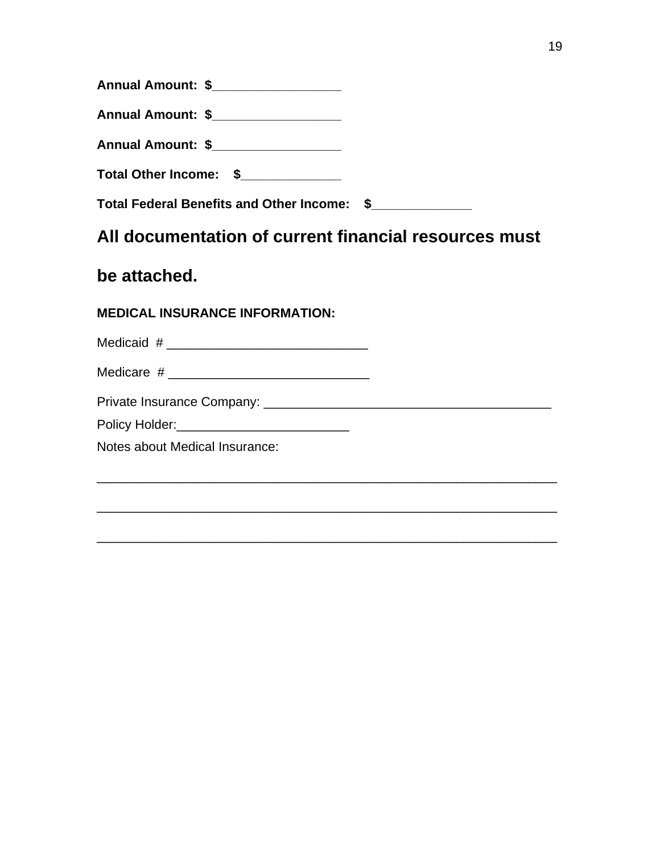| Annual Amount: \$__________________                                                                                                                      |  |
|----------------------------------------------------------------------------------------------------------------------------------------------------------|--|
| Annual Amount: \$__________________                                                                                                                      |  |
| Annual Amount: \$_________________                                                                                                                       |  |
| Total Other Income: \$                                                                                                                                   |  |
| Total Federal Benefits and Other Income: \$                                                                                                              |  |
| All documentation of current financial resources must                                                                                                    |  |
| be attached.                                                                                                                                             |  |
|                                                                                                                                                          |  |
|                                                                                                                                                          |  |
|                                                                                                                                                          |  |
|                                                                                                                                                          |  |
|                                                                                                                                                          |  |
| <b>MEDICAL INSURANCE INFORMATION:</b><br>Policy Holder: Management Collection and Collection and Collection and Collection and Collection and Collection |  |
| Notes about Medical Insurance:                                                                                                                           |  |

\_\_\_\_\_\_\_\_\_\_\_\_\_\_\_\_\_\_\_\_\_\_\_\_\_\_\_\_\_\_\_\_\_\_\_\_\_\_\_\_\_\_\_\_\_\_\_\_\_\_\_\_\_\_\_\_\_\_\_\_\_\_\_\_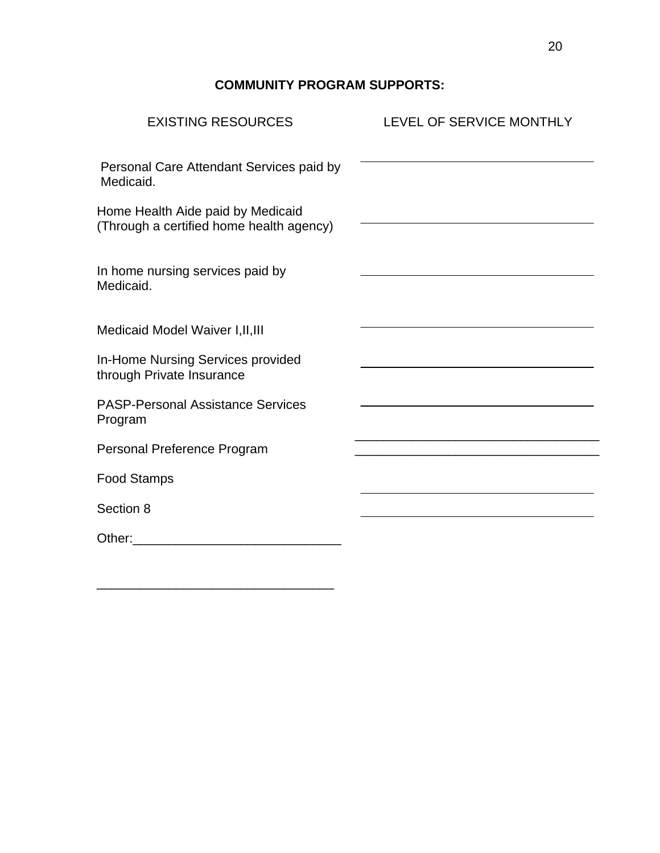## **COMMUNITY PROGRAM SUPPORTS:**

| <b>EXISTING RESOURCES</b>                                                     | LEVEL OF SERVICE MONTHLY                                                                                              |
|-------------------------------------------------------------------------------|-----------------------------------------------------------------------------------------------------------------------|
| Personal Care Attendant Services paid by<br>Medicaid.                         |                                                                                                                       |
| Home Health Aide paid by Medicaid<br>(Through a certified home health agency) |                                                                                                                       |
| In home nursing services paid by<br>Medicaid.                                 |                                                                                                                       |
| Medicaid Model Waiver I, II, III                                              |                                                                                                                       |
| In-Home Nursing Services provided<br>through Private Insurance                |                                                                                                                       |
| <b>PASP-Personal Assistance Services</b><br>Program                           |                                                                                                                       |
| Personal Preference Program                                                   | <u> 1990 - Johann Barn, mars ann an t-Amhain an t-Amhain an t-Amhain an t-Amhain an t-Amhain an t-Amhain an t-Amh</u> |
| <b>Food Stamps</b>                                                            |                                                                                                                       |
| Section 8                                                                     |                                                                                                                       |
| Other:                                                                        |                                                                                                                       |

\_\_\_\_\_\_\_\_\_\_\_\_\_\_\_\_\_\_\_\_\_\_\_\_\_\_\_\_\_\_\_\_\_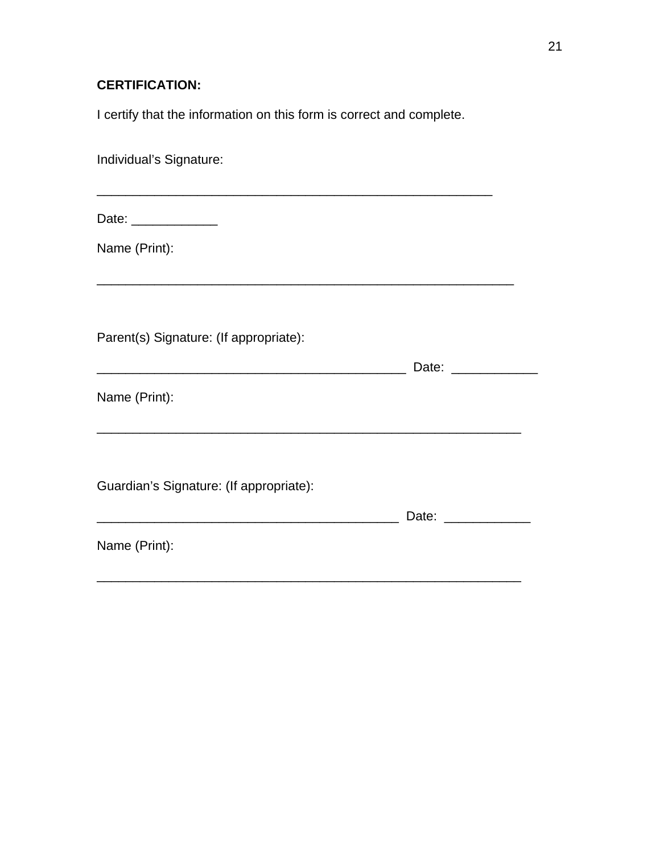# **CERTIFICATION:**

I certify that the information on this form is correct and complete.

| Individual's Signature:                                                                                                               |                       |  |
|---------------------------------------------------------------------------------------------------------------------------------------|-----------------------|--|
| Date: _____________                                                                                                                   |                       |  |
| Name (Print):                                                                                                                         |                       |  |
|                                                                                                                                       |                       |  |
| Parent(s) Signature: (If appropriate):                                                                                                |                       |  |
| Name (Print):                                                                                                                         | Date: _______________ |  |
|                                                                                                                                       |                       |  |
| Guardian's Signature: (If appropriate):                                                                                               |                       |  |
| <u> 2000 - Jan James James Jan James James James James James James James James James James James James James Jam</u><br>Name (Print): | Date: ______________  |  |
|                                                                                                                                       |                       |  |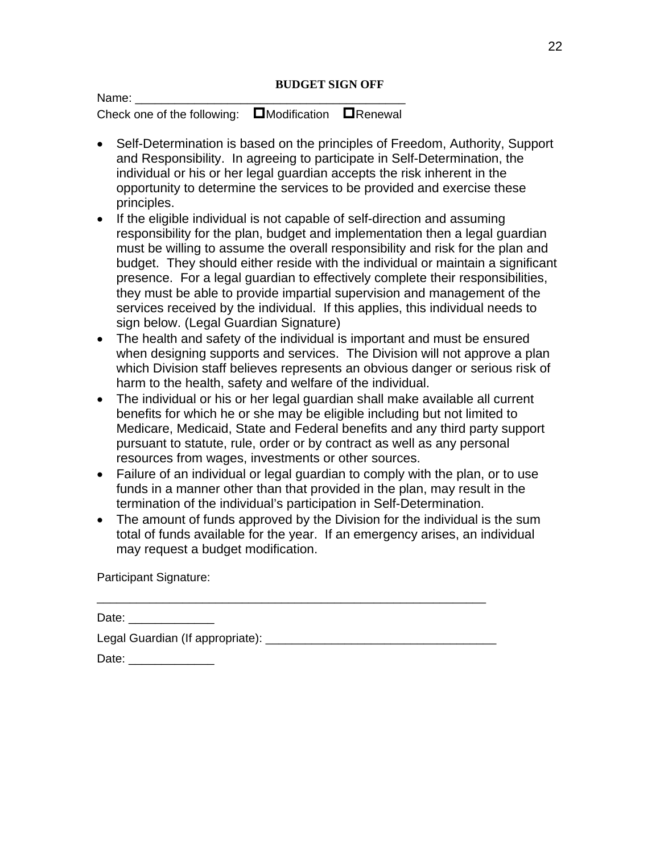#### **BUDGET SIGN OFF**

Check one of the following:  $\Box$ Modification  $\Box$ Renewal

- Self-Determination is based on the principles of Freedom, Authority, Support and Responsibility. In agreeing to participate in Self-Determination, the individual or his or her legal guardian accepts the risk inherent in the opportunity to determine the services to be provided and exercise these principles.
- If the eligible individual is not capable of self-direction and assuming responsibility for the plan, budget and implementation then a legal guardian must be willing to assume the overall responsibility and risk for the plan and budget. They should either reside with the individual or maintain a significant presence. For a legal guardian to effectively complete their responsibilities, they must be able to provide impartial supervision and management of the services received by the individual. If this applies, this individual needs to sign below. (Legal Guardian Signature)
- The health and safety of the individual is important and must be ensured when designing supports and services. The Division will not approve a plan which Division staff believes represents an obvious danger or serious risk of harm to the health, safety and welfare of the individual.
- The individual or his or her legal guardian shall make available all current benefits for which he or she may be eligible including but not limited to Medicare, Medicaid, State and Federal benefits and any third party support pursuant to statute, rule, order or by contract as well as any personal resources from wages, investments or other sources.
- Failure of an individual or legal guardian to comply with the plan, or to use funds in a manner other than that provided in the plan, may result in the termination of the individual's participation in Self-Determination.
- The amount of funds approved by the Division for the individual is the sum total of funds available for the year. If an emergency arises, an individual may request a budget modification.

Participant Signature:

Name:

| Date: the contract of the contract of the contract of the contract of the contract of the contract of the contract of the contract of the contract of the contract of the contract of the contract of the contract of the cont |  |
|--------------------------------------------------------------------------------------------------------------------------------------------------------------------------------------------------------------------------------|--|
| Legal Guardian (If appropriate):                                                                                                                                                                                               |  |
| Date:                                                                                                                                                                                                                          |  |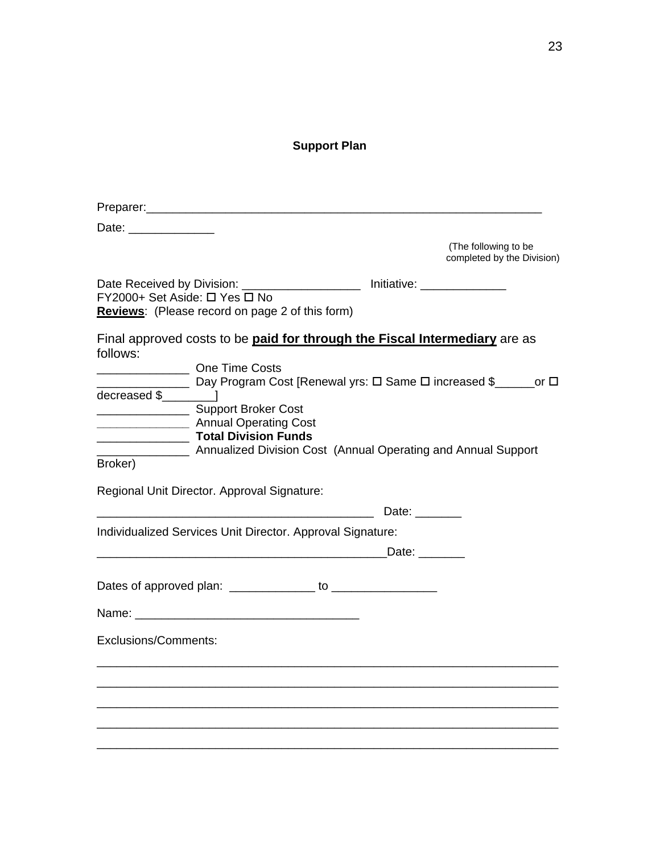## **Support Plan**

| Date: the contract of the contract of the contract of the contract of the contract of the contract of the contract of the contract of the contract of the contract of the contract of the contract of the contract of the cont |                                                                                                                                                                                                                                                                                                                                                                                        |               |                                                    |
|--------------------------------------------------------------------------------------------------------------------------------------------------------------------------------------------------------------------------------|----------------------------------------------------------------------------------------------------------------------------------------------------------------------------------------------------------------------------------------------------------------------------------------------------------------------------------------------------------------------------------------|---------------|----------------------------------------------------|
|                                                                                                                                                                                                                                |                                                                                                                                                                                                                                                                                                                                                                                        |               | (The following to be<br>completed by the Division) |
| FY2000+ Set Aside: □ Yes □ No                                                                                                                                                                                                  | Date Received by Division: _____________________ Initiative: ______________<br>Reviews: (Please record on page 2 of this form)                                                                                                                                                                                                                                                         |               |                                                    |
| follows:<br>Broker)                                                                                                                                                                                                            | Final approved costs to be paid for through the Fiscal Intermediary are as<br><b>Example 20 One Time Costs</b><br><u>_____</u> _________ Day Program Cost [Renewal yrs: □ Same □ increased \$_______or □<br>Support Broker Cost<br>Annual Operating Cost<br><b>CONFIDENT</b> Total Division Funds<br><b>EXAMPLE 2018</b> Annualized Division Cost (Annual Operating and Annual Support |               |                                                    |
|                                                                                                                                                                                                                                | Regional Unit Director. Approval Signature:                                                                                                                                                                                                                                                                                                                                            | Date: $\_\_$  |                                                    |
|                                                                                                                                                                                                                                | Individualized Services Unit Director. Approval Signature:                                                                                                                                                                                                                                                                                                                             |               |                                                    |
|                                                                                                                                                                                                                                |                                                                                                                                                                                                                                                                                                                                                                                        | Date: _______ |                                                    |
|                                                                                                                                                                                                                                |                                                                                                                                                                                                                                                                                                                                                                                        |               |                                                    |
|                                                                                                                                                                                                                                |                                                                                                                                                                                                                                                                                                                                                                                        |               |                                                    |
| Exclusions/Comments:                                                                                                                                                                                                           |                                                                                                                                                                                                                                                                                                                                                                                        |               |                                                    |
|                                                                                                                                                                                                                                |                                                                                                                                                                                                                                                                                                                                                                                        |               |                                                    |
|                                                                                                                                                                                                                                |                                                                                                                                                                                                                                                                                                                                                                                        |               |                                                    |
|                                                                                                                                                                                                                                |                                                                                                                                                                                                                                                                                                                                                                                        |               |                                                    |
|                                                                                                                                                                                                                                |                                                                                                                                                                                                                                                                                                                                                                                        |               |                                                    |
|                                                                                                                                                                                                                                |                                                                                                                                                                                                                                                                                                                                                                                        |               |                                                    |